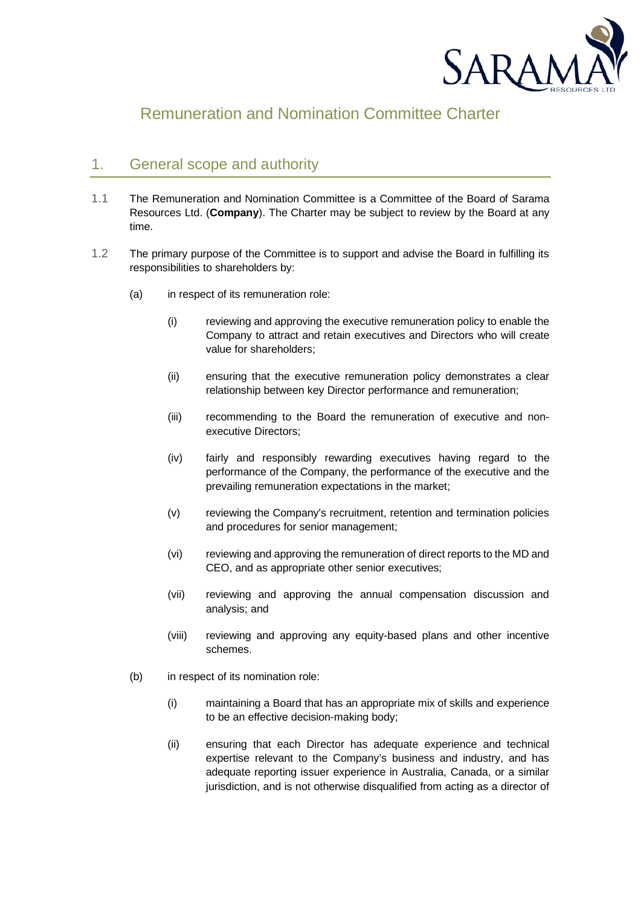

# Remuneration and Nomination Committee Charter

# 1. General scope and authority

- 1.1 The Remuneration and Nomination Committee is a Committee of the Board of Sarama Resources Ltd. (**Company**). The Charter may be subject to review by the Board at any time.
- 1.2 The primary purpose of the Committee is to support and advise the Board in fulfilling its responsibilities to shareholders by:
	- (a) in respect of its remuneration role:
		- (i) reviewing and approving the executive remuneration policy to enable the Company to attract and retain executives and Directors who will create value for shareholders;
		- (ii) ensuring that the executive remuneration policy demonstrates a clear relationship between key Director performance and remuneration;
		- (iii) recommending to the Board the remuneration of executive and nonexecutive Directors;
		- (iv) fairly and responsibly rewarding executives having regard to the performance of the Company, the performance of the executive and the prevailing remuneration expectations in the market;
		- (v) reviewing the Company's recruitment, retention and termination policies and procedures for senior management;
		- (vi) reviewing and approving the remuneration of direct reports to the MD and CEO, and as appropriate other senior executives;
		- (vii) reviewing and approving the annual compensation discussion and analysis; and
		- (viii) reviewing and approving any equity-based plans and other incentive schemes.
	- (b) in respect of its nomination role:
		- (i) maintaining a Board that has an appropriate mix of skills and experience to be an effective decision-making body;
		- (ii) ensuring that each Director has adequate experience and technical expertise relevant to the Company's business and industry, and has adequate reporting issuer experience in Australia, Canada, or a similar jurisdiction, and is not otherwise disqualified from acting as a director of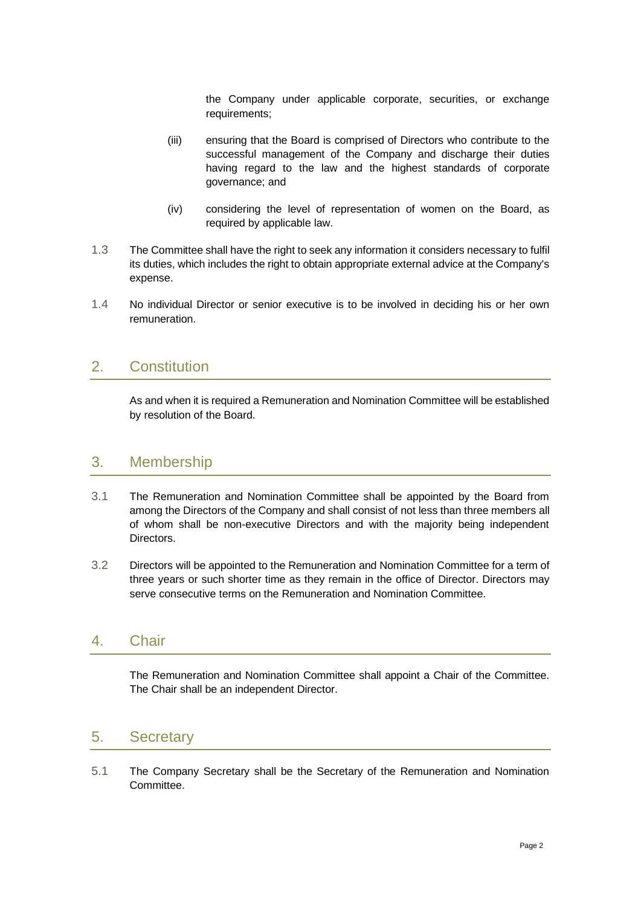the Company under applicable corporate, securities, or exchange requirements:

- (iii) ensuring that the Board is comprised of Directors who contribute to the successful management of the Company and discharge their duties having regard to the law and the highest standards of corporate governance; and
- (iv) considering the level of representation of women on the Board, as required by applicable law.
- 1.3 The Committee shall have the right to seek any information it considers necessary to fulfil its duties, which includes the right to obtain appropriate external advice at the Company's expense.
- 1.4 No individual Director or senior executive is to be involved in deciding his or her own remuneration.

## 2. Constitution

As and when it is required a Remuneration and Nomination Committee will be established by resolution of the Board.

## 3. Membership

- 3.1 The Remuneration and Nomination Committee shall be appointed by the Board from among the Directors of the Company and shall consist of not less than three members all of whom shall be non-executive Directors and with the majority being independent **Directors**
- 3.2 Directors will be appointed to the Remuneration and Nomination Committee for a term of three years or such shorter time as they remain in the office of Director. Directors may serve consecutive terms on the Remuneration and Nomination Committee.

## 4. Chair

The Remuneration and Nomination Committee shall appoint a Chair of the Committee. The Chair shall be an independent Director.

# 5. Secretary

5.1 The Company Secretary shall be the Secretary of the Remuneration and Nomination Committee.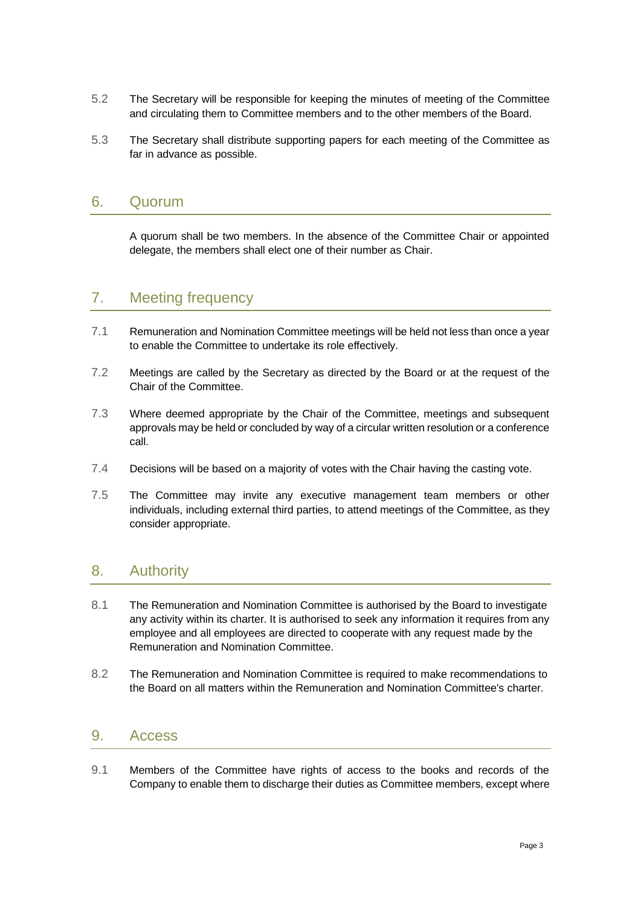- 5.2 The Secretary will be responsible for keeping the minutes of meeting of the Committee and circulating them to Committee members and to the other members of the Board.
- 5.3 The Secretary shall distribute supporting papers for each meeting of the Committee as far in advance as possible.

#### 6. Quorum

A quorum shall be two members. In the absence of the Committee Chair or appointed delegate, the members shall elect one of their number as Chair.

# 7. Meeting frequency

- 7.1 Remuneration and Nomination Committee meetings will be held not less than once a year to enable the Committee to undertake its role effectively.
- 7.2 Meetings are called by the Secretary as directed by the Board or at the request of the Chair of the Committee.
- 7.3 Where deemed appropriate by the Chair of the Committee, meetings and subsequent approvals may be held or concluded by way of a circular written resolution or a conference call.
- 7.4 Decisions will be based on a majority of votes with the Chair having the casting vote.
- 7.5 The Committee may invite any executive management team members or other individuals, including external third parties, to attend meetings of the Committee, as they consider appropriate.

## 8. Authority

- 8.1 The Remuneration and Nomination Committee is authorised by the Board to investigate any activity within its charter. It is authorised to seek any information it requires from any employee and all employees are directed to cooperate with any request made by the Remuneration and Nomination Committee.
- 8.2 The Remuneration and Nomination Committee is required to make recommendations to the Board on all matters within the Remuneration and Nomination Committee's charter.

# 9. Access

9.1 Members of the Committee have rights of access to the books and records of the Company to enable them to discharge their duties as Committee members, except where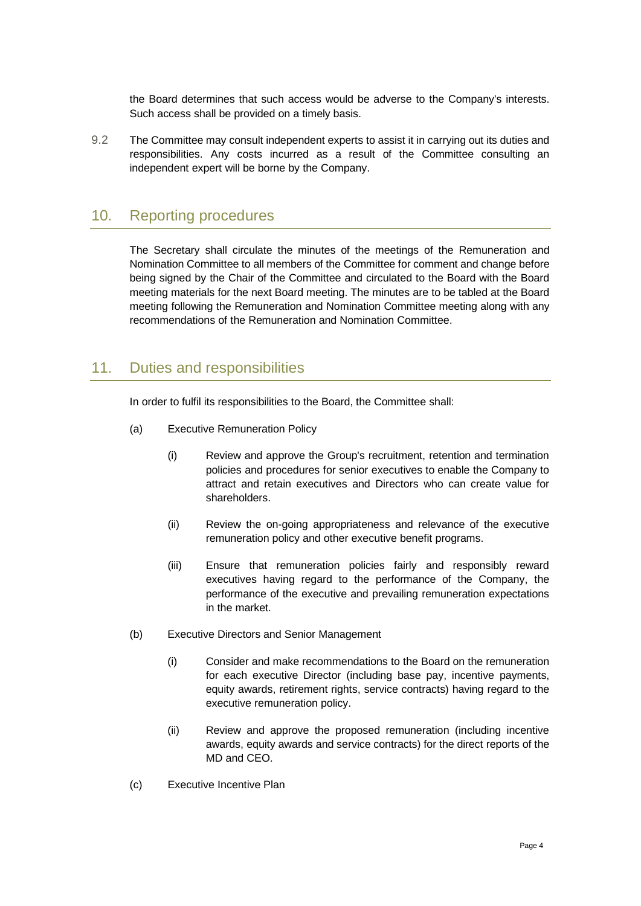the Board determines that such access would be adverse to the Company's interests. Such access shall be provided on a timely basis.

9.2 The Committee may consult independent experts to assist it in carrying out its duties and responsibilities. Any costs incurred as a result of the Committee consulting an independent expert will be borne by the Company.

# 10. Reporting procedures

The Secretary shall circulate the minutes of the meetings of the Remuneration and Nomination Committee to all members of the Committee for comment and change before being signed by the Chair of the Committee and circulated to the Board with the Board meeting materials for the next Board meeting. The minutes are to be tabled at the Board meeting following the Remuneration and Nomination Committee meeting along with any recommendations of the Remuneration and Nomination Committee.

## 11. Duties and responsibilities

In order to fulfil its responsibilities to the Board, the Committee shall:

- (a) Executive Remuneration Policy
	- (i) Review and approve the Group's recruitment, retention and termination policies and procedures for senior executives to enable the Company to attract and retain executives and Directors who can create value for shareholders.
	- (ii) Review the on-going appropriateness and relevance of the executive remuneration policy and other executive benefit programs.
	- (iii) Ensure that remuneration policies fairly and responsibly reward executives having regard to the performance of the Company, the performance of the executive and prevailing remuneration expectations in the market.
- <span id="page-3-0"></span>(b) Executive Directors and Senior Management
	- (i) Consider and make recommendations to the Board on the remuneration for each executive Director (including base pay, incentive payments, equity awards, retirement rights, service contracts) having regard to the executive remuneration policy.
	- (ii) Review and approve the proposed remuneration (including incentive awards, equity awards and service contracts) for the direct reports of the MD and CEO.
- (c) Executive Incentive Plan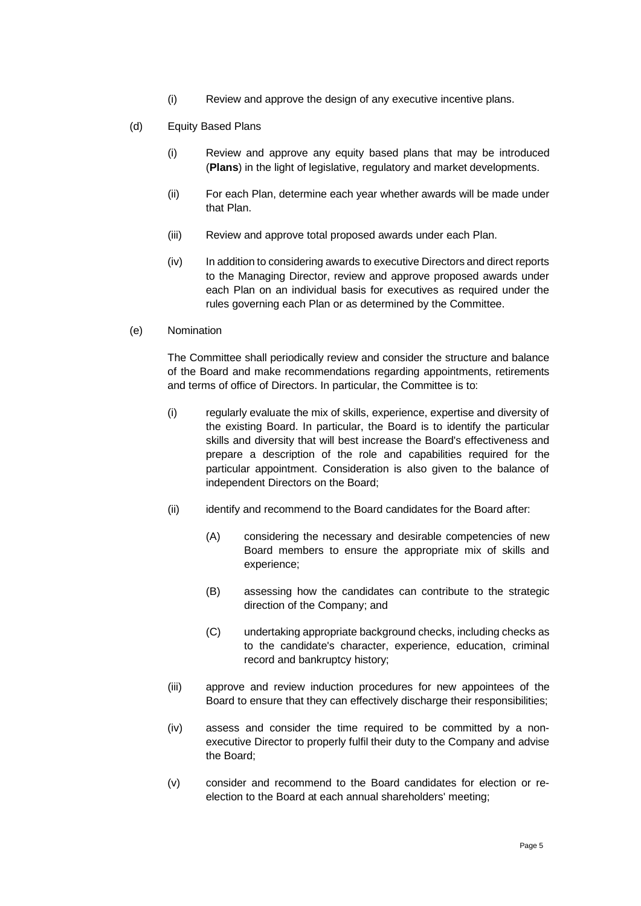- (i) Review and approve the design of any executive incentive plans.
- (d) Equity Based Plans
	- (i) Review and approve any equity based plans that may be introduced (**Plans**) in the light of legislative, regulatory and market developments.
	- (ii) For each Plan, determine each year whether awards will be made under that Plan.
	- (iii) Review and approve total proposed awards under each Plan.
	- (iv) In addition to considering awards to executive Directors and direct reports to the Managing Director, review and approve proposed awards under each Plan on an individual basis for executives as required under the rules governing each Plan or as determined by the Committee.
- (e) Nomination

The Committee shall periodically review and consider the structure and balance of the Board and make recommendations regarding appointments, retirements and terms of office of Directors. In particular, the Committee is to:

- (i) regularly evaluate the mix of skills, experience, expertise and diversity of the existing Board. In particular, the Board is to identify the particular skills and diversity that will best increase the Board's effectiveness and prepare a description of the role and capabilities required for the particular appointment. Consideration is also given to the balance of independent Directors on the Board;
- (ii) identify and recommend to the Board candidates for the Board after:
	- (A) considering the necessary and desirable competencies of new Board members to ensure the appropriate mix of skills and experience;
	- (B) assessing how the candidates can contribute to the strategic direction of the Company; and
	- (C) undertaking appropriate background checks, including checks as to the candidate's character, experience, education, criminal record and bankruptcy history;
- (iii) approve and review induction procedures for new appointees of the Board to ensure that they can effectively discharge their responsibilities;
- (iv) assess and consider the time required to be committed by a nonexecutive Director to properly fulfil their duty to the Company and advise the Board;
- (v) consider and recommend to the Board candidates for election or reelection to the Board at each annual shareholders' meeting;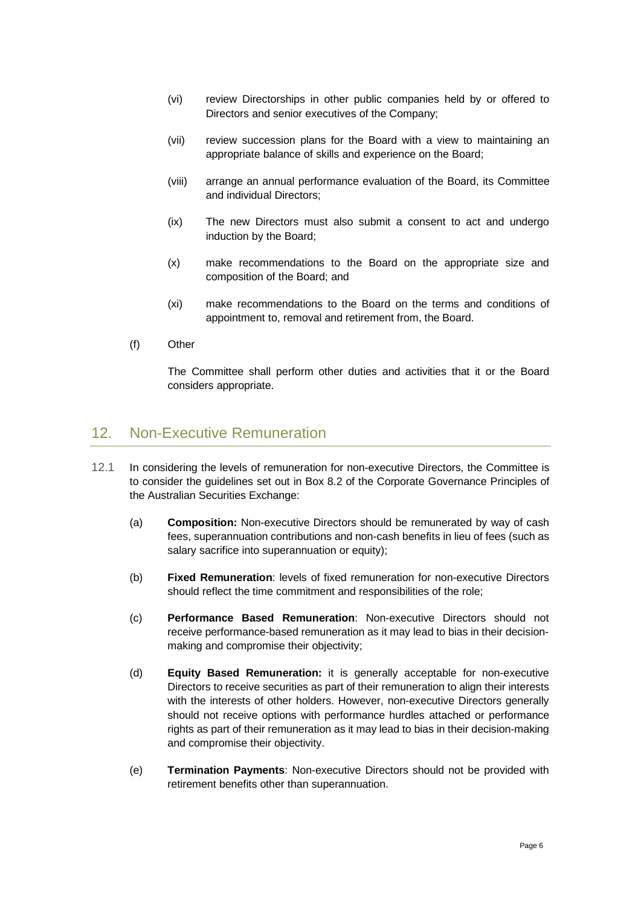- (vi) review Directorships in other public companies held by or offered to Directors and senior executives of the Company;
- (vii) review succession plans for the Board with a view to maintaining an appropriate balance of skills and experience on the Board;
- (viii) arrange an annual performance evaluation of the Board, its Committee and individual Directors;
- (ix) The new Directors must also submit a consent to act and undergo induction by the Board;
- (x) make recommendations to the Board on the appropriate size and composition of the Board; and
- (xi) make recommendations to the Board on the terms and conditions of appointment to, removal and retirement from, the Board.
- (f) Other

The Committee shall perform other duties and activities that it or the Board considers appropriate.

#### 12. Non-Executive Remuneration

- 12.1 In considering the levels of remuneration for non-executive Directors, the Committee is to consider the guidelines set out in Box 8.2 of the Corporate Governance Principles of the Australian Securities Exchange:
	- (a) **Composition:** Non-executive Directors should be remunerated by way of cash fees, superannuation contributions and non-cash benefits in lieu of fees (such as salary sacrifice into superannuation or equity);
	- (b) **Fixed Remuneration**: levels of fixed remuneration for non-executive Directors should reflect the time commitment and responsibilities of the role;
	- (c) **Performance Based Remuneration**: Non-executive Directors should not receive performance-based remuneration as it may lead to bias in their decisionmaking and compromise their objectivity;
	- (d) **Equity Based Remuneration:** it is generally acceptable for non-executive Directors to receive securities as part of their remuneration to align their interests with the interests of other holders. However, non-executive Directors generally should not receive options with performance hurdles attached or performance rights as part of their remuneration as it may lead to bias in their decision-making and compromise their objectivity.
	- (e) **Termination Payments**: Non-executive Directors should not be provided with retirement benefits other than superannuation.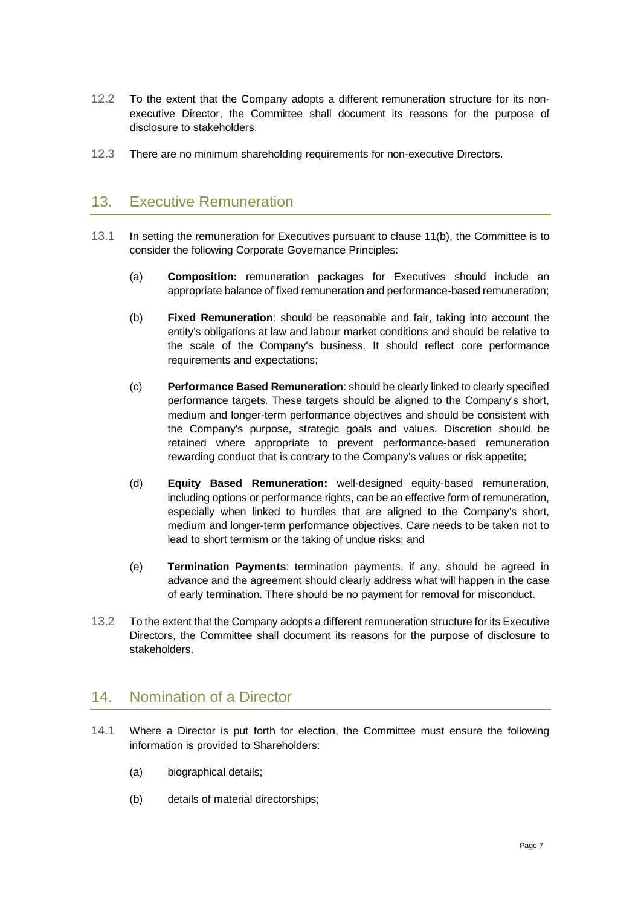- 12.2 To the extent that the Company adopts a different remuneration structure for its nonexecutive Director, the Committee shall document its reasons for the purpose of disclosure to stakeholders.
- 12.3 There are no minimum shareholding requirements for non-executive Directors.

### 13. Executive Remuneration

- 13.1 In setting the remuneration for Executives pursuant to clause [11\(b\),](#page-3-0) the Committee is to consider the following Corporate Governance Principles:
	- (a) **Composition:** remuneration packages for Executives should include an appropriate balance of fixed remuneration and performance-based remuneration;
	- (b) **Fixed Remuneration**: should be reasonable and fair, taking into account the entity's obligations at law and labour market conditions and should be relative to the scale of the Company's business. It should reflect core performance requirements and expectations;
	- (c) **Performance Based Remuneration**: should be clearly linked to clearly specified performance targets. These targets should be aligned to the Company's short, medium and longer-term performance objectives and should be consistent with the Company's purpose, strategic goals and values. Discretion should be retained where appropriate to prevent performance-based remuneration rewarding conduct that is contrary to the Company's values or risk appetite;
	- (d) **Equity Based Remuneration:** well-designed equity-based remuneration, including options or performance rights, can be an effective form of remuneration, especially when linked to hurdles that are aligned to the Company's short, medium and longer-term performance objectives. Care needs to be taken not to lead to short termism or the taking of undue risks; and
	- (e) **Termination Payments**: termination payments, if any, should be agreed in advance and the agreement should clearly address what will happen in the case of early termination. There should be no payment for removal for misconduct.
- 13.2 To the extent that the Company adopts a different remuneration structure for its Executive Directors, the Committee shall document its reasons for the purpose of disclosure to stakeholders.

# 14. Nomination of a Director

- 14.1 Where a Director is put forth for election, the Committee must ensure the following information is provided to Shareholders:
	- (a) biographical details;
	- (b) details of material directorships;